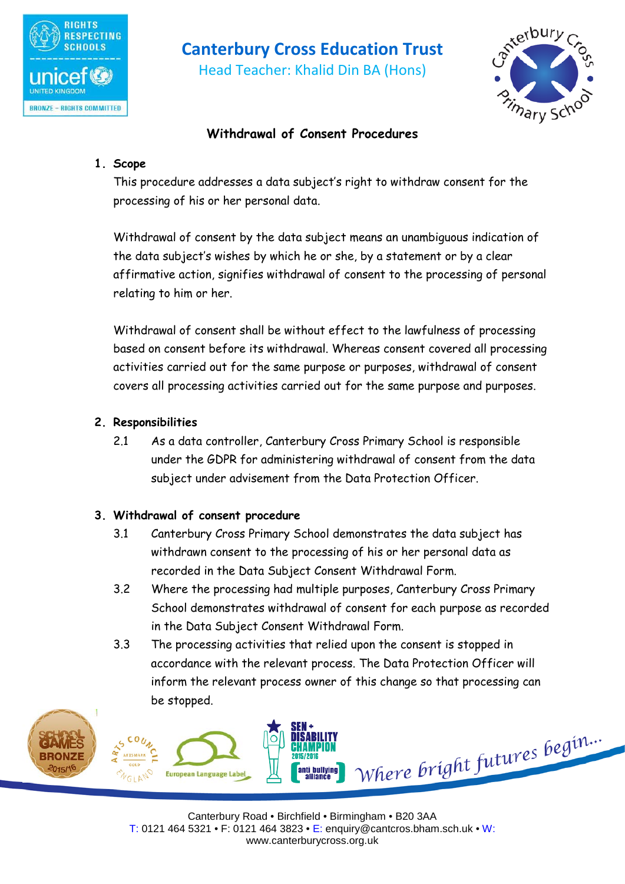

# **Canterbury Cross Education Trust**

Head Teacher: Khalid Din BA (Hons)



# **Withdrawal of Consent Procedures**

## **1. Scope**

This procedure addresses a data subject's right to withdraw consent for the processing of his or her personal data.

Withdrawal of consent by the data subject means an unambiguous indication of the data subject's wishes by which he or she, by a statement or by a clear affirmative action, signifies withdrawal of consent to the processing of personal relating to him or her.

Withdrawal of consent shall be without effect to the lawfulness of processing based on consent before its withdrawal. Whereas consent covered all processing activities carried out for the same purpose or purposes, withdrawal of consent covers all processing activities carried out for the same purpose and purposes.

## **2. Responsibilities**

2.1 As a data controller, Canterbury Cross Primary School is responsible under the GDPR for administering withdrawal of consent from the data subject under advisement from the Data Protection Officer.

## **3. Withdrawal of consent procedure**

- 3.1 Canterbury Cross Primary School demonstrates the data subject has withdrawn consent to the processing of his or her personal data as recorded in the Data Subject Consent Withdrawal Form.
- 3.2 Where the processing had multiple purposes, Canterbury Cross Primary School demonstrates withdrawal of consent for each purpose as recorded in the Data Subject Consent Withdrawal Form.
- 3.3 The processing activities that relied upon the consent is stopped in accordance with the relevant process. The Data Protection Officer will inform the relevant process owner of this change so that processing can be stopped.